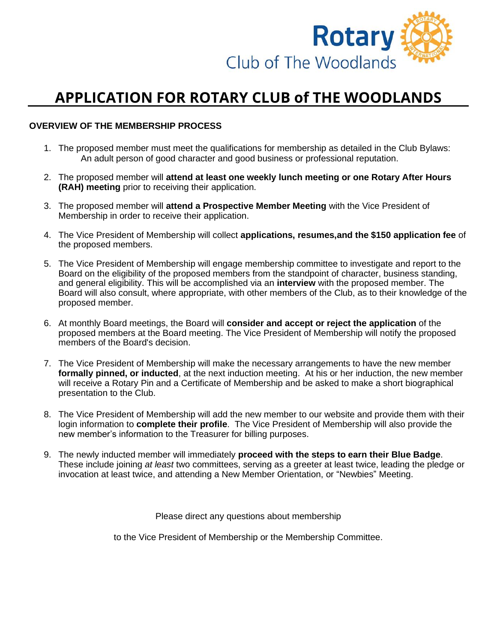

## **APPLICATION FOR ROTARY CLUB of THE WOODLANDS**

## **OVERVIEW OF THE MEMBERSHIP PROCESS**

- 1. The proposed member must meet the qualifications for membership as detailed in the Club Bylaws: An adult person of good character and good business or professional reputation.
- 2. The proposed member will **attend at least one weekly lunch meeting or one Rotary After Hours (RAH) meeting** prior to receiving their application.
- 3. The proposed member will **attend a Prospective Member Meeting** with the Vice President of Membership in order to receive their application.
- 4. The Vice President of Membership will collect **applications, resumes,and the \$150 application fee** of the proposed members.
- 5. The Vice President of Membership will engage membership committee to investigate and report to the Board on the eligibility of the proposed members from the standpoint of character, business standing, and general eligibility. This will be accomplished via an **interview** with the proposed member. The Board will also consult, where appropriate, with other members of the Club, as to their knowledge of the proposed member.
- 6. At monthly Board meetings, the Board will **consider and accept or reject the application** of the proposed members at the Board meeting. The Vice President of Membership will notify the proposed members of the Board's decision.
- 7. The Vice President of Membership will make the necessary arrangements to have the new member **formally pinned, or inducted**, at the next induction meeting. At his or her induction, the new member will receive a Rotary Pin and a Certificate of Membership and be asked to make a short biographical presentation to the Club.
- 8. The Vice President of Membership will add the new member to our website and provide them with their login information to **complete their profile**. The Vice President of Membership will also provide the new member's information to the Treasurer for billing purposes.
- 9. The newly inducted member will immediately **proceed with the steps to earn their Blue Badge**. These include joining *at least* two committees, serving as a greeter at least twice, leading the pledge or invocation at least twice, and attending a New Member Orientation, or "Newbies" Meeting.

Please direct any questions about membership

to the Vice President of Membership or the Membership Committee.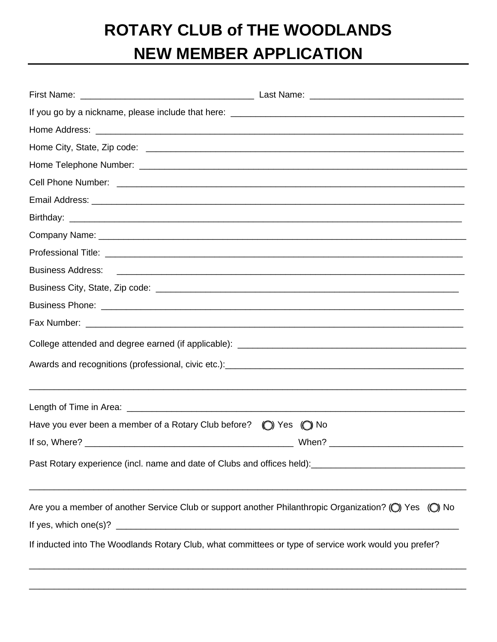## **ROTARY CLUB of THE WOODLANDS NEW MEMBER APPLICATION**

| Have you ever been a member of a Rotary Club before?                                                                                                 | ◯ Yes (◯ No |  |  |  |  |
|------------------------------------------------------------------------------------------------------------------------------------------------------|-------------|--|--|--|--|
|                                                                                                                                                      |             |  |  |  |  |
| Past Rotary experience (incl. name and date of Clubs and offices held): [10] past Rotary experience (incl. name and date of Clubs and offices held): |             |  |  |  |  |
| Are you a member of another Service Club or support another Philanthropic Organization? (O) Yes (O) No                                               |             |  |  |  |  |
| If inducted into The Woodlands Rotary Club, what committees or type of service work would you prefer?                                                |             |  |  |  |  |
|                                                                                                                                                      |             |  |  |  |  |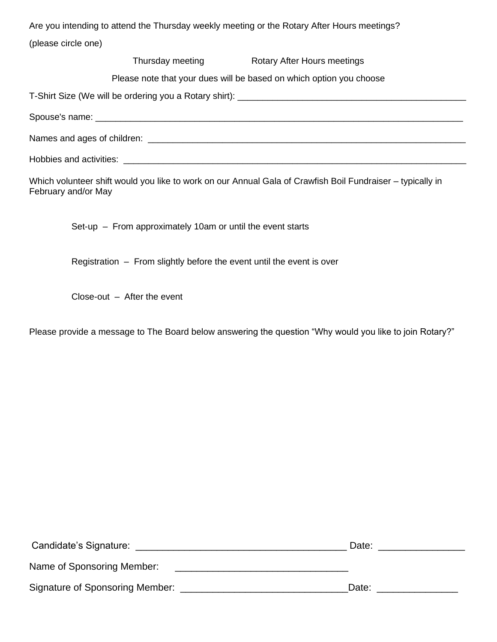Are you intending to attend the Thursday weekly meeting or the Rotary After Hours meetings? (please circle one)

Thursday meeting **Rotary After Hours meetings** 

Please note that your dues will be based on which option you choose

T-Shirt Size (We will be ordering you a Rotary shirt): \_\_\_\_\_\_\_\_\_\_\_\_\_\_\_\_\_\_\_\_\_\_\_\_\_\_\_\_\_\_\_\_\_\_\_\_\_\_\_\_\_\_\_\_\_\_

| Spouse's name:<br>. |
|---------------------|
|---------------------|

Names and ages of children: \_\_\_\_\_\_\_\_\_\_\_\_\_\_\_\_\_\_\_\_\_\_\_\_\_\_\_\_\_\_\_\_\_\_\_\_\_\_\_\_\_\_\_\_\_\_\_\_\_\_\_\_\_\_\_\_\_\_\_\_\_\_\_\_

Hobbies and activities: \_\_\_\_\_\_\_\_\_\_\_\_\_\_\_\_\_\_\_\_\_\_\_\_\_\_\_\_\_\_\_\_\_\_\_\_\_\_\_\_\_\_\_\_\_\_\_\_\_\_\_\_\_\_\_\_\_\_\_\_\_\_\_\_\_\_\_\_\_

Which volunteer shift would you like to work on our Annual Gala of Crawfish Boil Fundraiser – typically in February and/or May

Set-up – From approximately 10am or until the event starts

Registration – From slightly before the event until the event is over

Close-out – After the event

Please provide a message to The Board below answering the question "Why would you like to join Rotary?"

| Candidate's Signature:          | Date: |
|---------------------------------|-------|
| Name of Sponsoring Member:      |       |
| Signature of Sponsoring Member: | Date: |